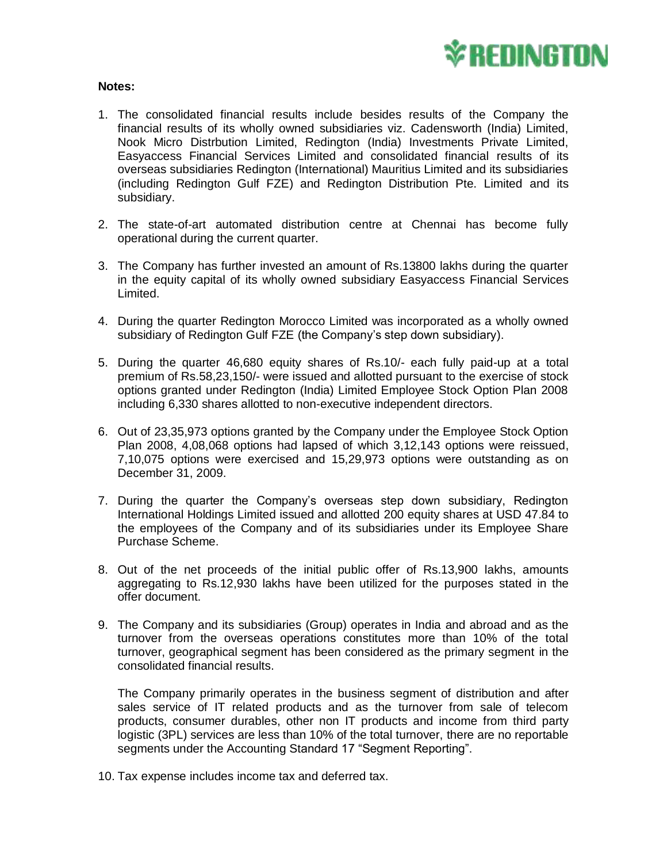

## **Notes:**

- 1. The consolidated financial results include besides results of the Company the financial results of its wholly owned subsidiaries viz. Cadensworth (India) Limited, Nook Micro Distrbution Limited, Redington (India) Investments Private Limited, Easyaccess Financial Services Limited and consolidated financial results of its overseas subsidiaries Redington (International) Mauritius Limited and its subsidiaries (including Redington Gulf FZE) and Redington Distribution Pte. Limited and its subsidiary.
- 2. The state-of-art automated distribution centre at Chennai has become fully operational during the current quarter.
- 3. The Company has further invested an amount of Rs.13800 lakhs during the quarter in the equity capital of its wholly owned subsidiary Easyaccess Financial Services Limited.
- 4. During the quarter Redington Morocco Limited was incorporated as a wholly owned subsidiary of Redington Gulf FZE (the Company's step down subsidiary).
- 5. During the quarter 46,680 equity shares of Rs.10/- each fully paid-up at a total premium of Rs.58,23,150/- were issued and allotted pursuant to the exercise of stock options granted under Redington (India) Limited Employee Stock Option Plan 2008 including 6,330 shares allotted to non-executive independent directors.
- 6. Out of 23,35,973 options granted by the Company under the Employee Stock Option Plan 2008, 4,08,068 options had lapsed of which 3,12,143 options were reissued, 7,10,075 options were exercised and 15,29,973 options were outstanding as on December 31, 2009.
- 7. During the quarter the Company's overseas step down subsidiary, Redington International Holdings Limited issued and allotted 200 equity shares at USD 47.84 to the employees of the Company and of its subsidiaries under its Employee Share Purchase Scheme.
- 8. Out of the net proceeds of the initial public offer of Rs.13,900 lakhs, amounts aggregating to Rs.12,930 lakhs have been utilized for the purposes stated in the offer document.
- 9. The Company and its subsidiaries (Group) operates in India and abroad and as the turnover from the overseas operations constitutes more than 10% of the total turnover, geographical segment has been considered as the primary segment in the consolidated financial results.

The Company primarily operates in the business segment of distribution and after sales service of IT related products and as the turnover from sale of telecom products, consumer durables, other non IT products and income from third party logistic (3PL) services are less than 10% of the total turnover, there are no reportable segments under the Accounting Standard 17 "Segment Reporting".

10. Tax expense includes income tax and deferred tax.